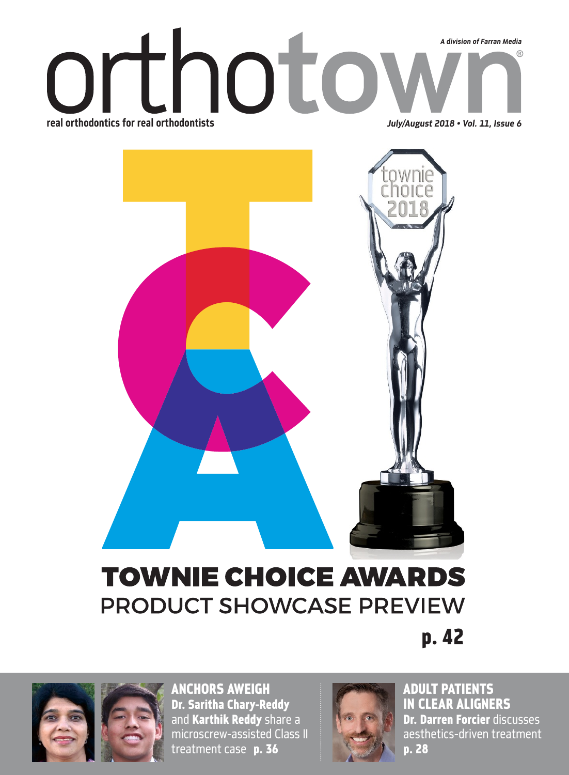## thoto  *A division of Farran Media* **(R)** real orthodontics for real orthodontists *July/August 2018 • Vol. 11, Issue 6*



## **TOWNIE CHOICE AWARDS PRODUCT SHOWCASE PREVIEW**

p. 42



ANCHORS AWEIGH Dr. Saritha Chary-Reddy and Karthik Reddy share a microscrew-assisted Class II treatment case p. 36



ADULT PATIENTS IN CLEAR ALIGNERS Dr. Darren Forcier discusses aesthetics-driven treatment p. 28